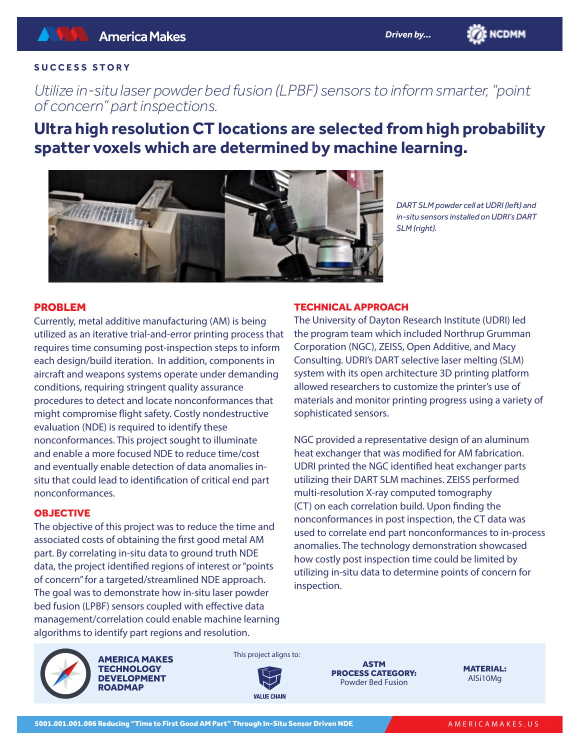

*Utilize in-situ laser powder bed fusion (LPBF) sensors to inform smarter, "point of concern" part inspections.*

**Ultra high resolution CT locations are selected from high probability spatter voxels which are determined by machine learning.**



*DART SLM powder cell at UDRI (left) and in-situ sensors installed on UDRI's DART SLM (right).*

**BE NCDMM** 

# PROBLEM

Currently, metal additive manufacturing (AM) is being utilized as an iterative trial-and-error printing process that requires time consuming post-inspection steps to inform each design/build iteration. In addition, components in aircraft and weapons systems operate under demanding conditions, requiring stringent quality assurance procedures to detect and locate nonconformances that might compromise flight safety. Costly nondestructive evaluation (NDE) is required to identify these nonconformances. This project sought to illuminate and enable a more focused NDE to reduce time/cost and eventually enable detection of data anomalies insitu that could lead to identification of critical end part nonconformances.

## **OBJECTIVE**

The objective of this project was to reduce the time and associated costs of obtaining the first good metal AM part. By correlating in-situ data to ground truth NDE data, the project identified regions of interest or "points of concern" for a targeted/streamlined NDE approach. The goal was to demonstrate how in-situ laser powder bed fusion (LPBF) sensors coupled with effective data management/correlation could enable machine learning algorithms to identify part regions and resolution.

## TECHNICAL APPROACH

The University of Dayton Research Institute (UDRI) led the program team which included Northrup Grumman Corporation (NGC), ZEISS, Open Additive, and Macy Consulting. UDRI's DART selective laser melting (SLM) system with its open architecture 3D printing platform allowed researchers to customize the printer's use of materials and monitor printing progress using a variety of sophisticated sensors.

NGC provided a representative design of an aluminum heat exchanger that was modified for AM fabrication. UDRI printed the NGC identified heat exchanger parts utilizing their DART SLM machines. ZEISS performed multi-resolution X-ray computed tomography (CT) on each correlation build. Upon finding the nonconformances in post inspection, the CT data was used to correlate end part nonconformances to in-process anomalies. The technology demonstration showcased how costly post inspection time could be limited by utilizing in-situ data to determine points of concern for inspection.



AMERICA MAKES **TECHNOLOGY** DEVELOPMENT **ROADMAP** 



**VALUE CHAIN** 

ASTM PROCESS CATEGORY: Powder Bed Fusion

MATERIAL: AlSi10Mg